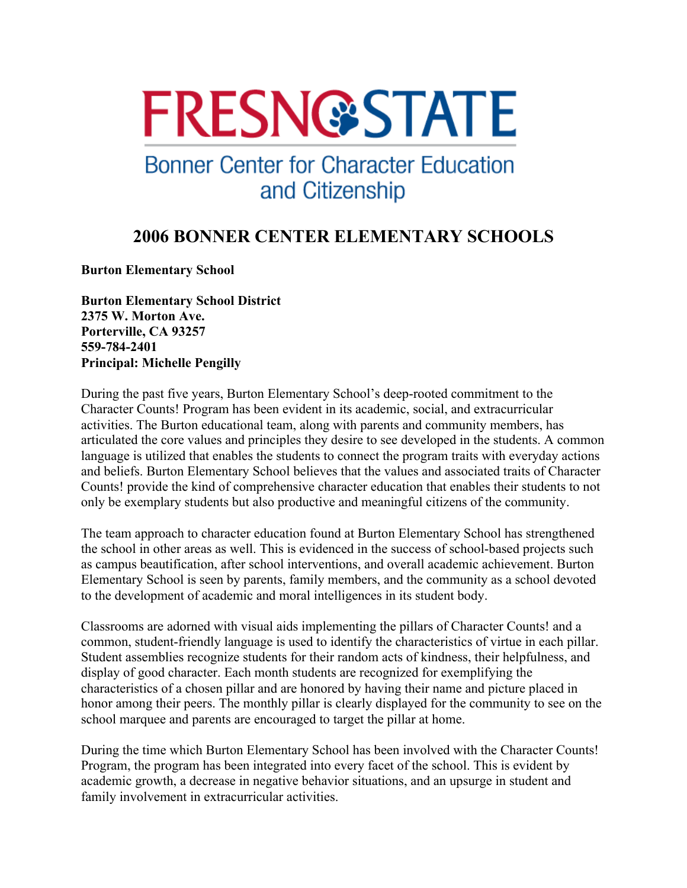# **FRESN@STATE**

## **Bonner Center for Character Education** and Citizenship

### **2006 BONNER CENTER ELEMENTARY SCHOOLS**

**Burton Elementary School**

**Burton Elementary School District 2375 W. Morton Ave. Porterville, CA 93257 559-784-2401 Principal: Michelle Pengilly** 

During the past five years, Burton Elementary School's deep-rooted commitment to the Character Counts! Program has been evident in its academic, social, and extracurricular activities. The Burton educational team, along with parents and community members, has articulated the core values and principles they desire to see developed in the students. A common language is utilized that enables the students to connect the program traits with everyday actions and beliefs. Burton Elementary School believes that the values and associated traits of Character Counts! provide the kind of comprehensive character education that enables their students to not only be exemplary students but also productive and meaningful citizens of the community.

The team approach to character education found at Burton Elementary School has strengthened the school in other areas as well. This is evidenced in the success of school-based projects such as campus beautification, after school interventions, and overall academic achievement. Burton Elementary School is seen by parents, family members, and the community as a school devoted to the development of academic and moral intelligences in its student body.

Classrooms are adorned with visual aids implementing the pillars of Character Counts! and a common, student-friendly language is used to identify the characteristics of virtue in each pillar. Student assemblies recognize students for their random acts of kindness, their helpfulness, and display of good character. Each month students are recognized for exemplifying the characteristics of a chosen pillar and are honored by having their name and picture placed in honor among their peers. The monthly pillar is clearly displayed for the community to see on the school marquee and parents are encouraged to target the pillar at home.

During the time which Burton Elementary School has been involved with the Character Counts! Program, the program has been integrated into every facet of the school. This is evident by academic growth, a decrease in negative behavior situations, and an upsurge in student and family involvement in extracurricular activities.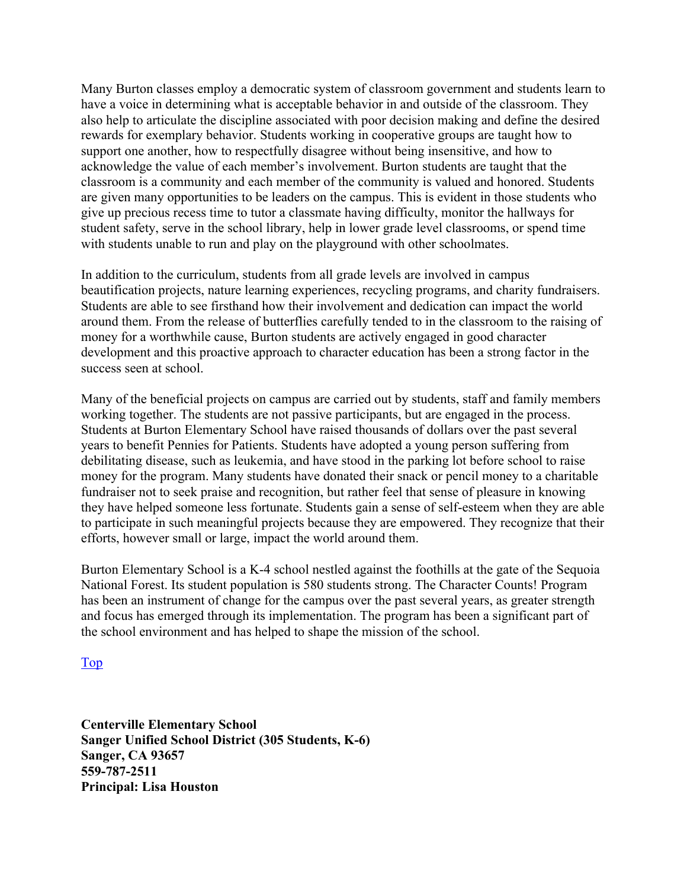Many Burton classes employ a democratic system of classroom government and students learn to have a voice in determining what is acceptable behavior in and outside of the classroom. They also help to articulate the discipline associated with poor decision making and define the desired rewards for exemplary behavior. Students working in cooperative groups are taught how to support one another, how to respectfully disagree without being insensitive, and how to acknowledge the value of each member's involvement. Burton students are taught that the classroom is a community and each member of the community is valued and honored. Students are given many opportunities to be leaders on the campus. This is evident in those students who give up precious recess time to tutor a classmate having difficulty, monitor the hallways for student safety, serve in the school library, help in lower grade level classrooms, or spend time with students unable to run and play on the playground with other schoolmates.

In addition to the curriculum, students from all grade levels are involved in campus beautification projects, nature learning experiences, recycling programs, and charity fundraisers. Students are able to see firsthand how their involvement and dedication can impact the world around them. From the release of butterflies carefully tended to in the classroom to the raising of money for a worthwhile cause, Burton students are actively engaged in good character development and this proactive approach to character education has been a strong factor in the success seen at school.

Many of the beneficial projects on campus are carried out by students, staff and family members working together. The students are not passive participants, but are engaged in the process. Students at Burton Elementary School have raised thousands of dollars over the past several years to benefit Pennies for Patients. Students have adopted a young person suffering from debilitating disease, such as leukemia, and have stood in the parking lot before school to raise money for the program. Many students have donated their snack or pencil money to a charitable fundraiser not to seek praise and recognition, but rather feel that sense of pleasure in knowing they have helped someone less fortunate. Students gain a sense of self-esteem when they are able to participate in such meaningful projects because they are empowered. They recognize that their efforts, however small or large, impact the world around them.

Burton Elementary School is a K-4 school nestled against the foothills at the gate of the Sequoia National Forest. Its student population is 580 students strong. The Character Counts! Program has been an instrument of change for the campus over the past several years, as greater strength and focus has emerged through its implementation. The program has been a significant part of the school environment and has helped to shape the mission of the school.

#### Top

**Centerville Elementary School Sanger Unified School District (305 Students, K-6) Sanger, CA 93657 559-787-2511 Principal: Lisa Houston**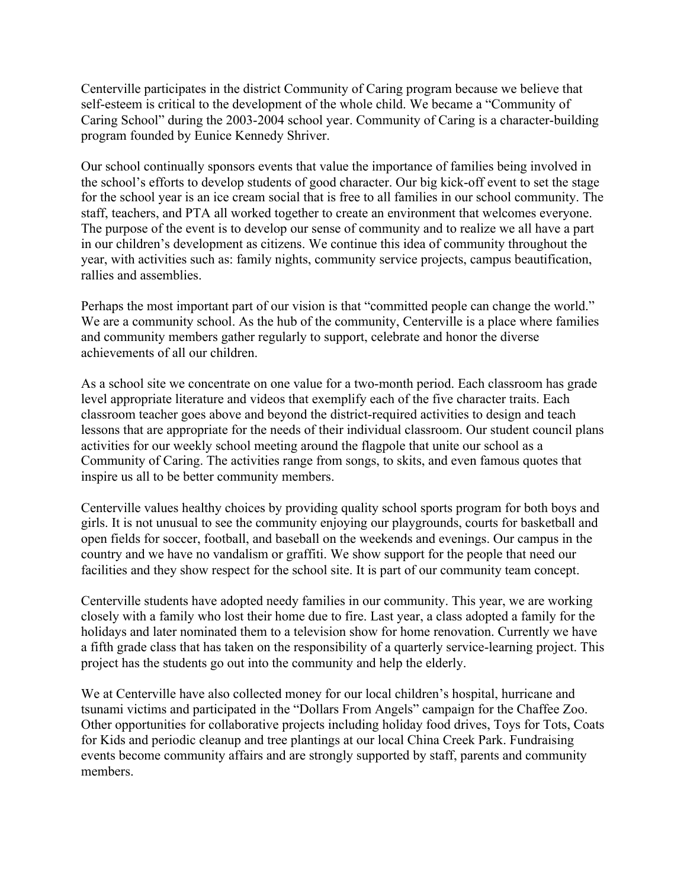Centerville participates in the district Community of Caring program because we believe that self-esteem is critical to the development of the whole child. We became a "Community of Caring School" during the 2003-2004 school year. Community of Caring is a character-building program founded by Eunice Kennedy Shriver.

Our school continually sponsors events that value the importance of families being involved in the school's efforts to develop students of good character. Our big kick-off event to set the stage for the school year is an ice cream social that is free to all families in our school community. The staff, teachers, and PTA all worked together to create an environment that welcomes everyone. The purpose of the event is to develop our sense of community and to realize we all have a part in our children's development as citizens. We continue this idea of community throughout the year, with activities such as: family nights, community service projects, campus beautification, rallies and assemblies.

Perhaps the most important part of our vision is that "committed people can change the world." We are a community school. As the hub of the community, Centerville is a place where families and community members gather regularly to support, celebrate and honor the diverse achievements of all our children.

As a school site we concentrate on one value for a two-month period. Each classroom has grade level appropriate literature and videos that exemplify each of the five character traits. Each classroom teacher goes above and beyond the district-required activities to design and teach lessons that are appropriate for the needs of their individual classroom. Our student council plans activities for our weekly school meeting around the flagpole that unite our school as a Community of Caring. The activities range from songs, to skits, and even famous quotes that inspire us all to be better community members.

Centerville values healthy choices by providing quality school sports program for both boys and girls. It is not unusual to see the community enjoying our playgrounds, courts for basketball and open fields for soccer, football, and baseball on the weekends and evenings. Our campus in the country and we have no vandalism or graffiti. We show support for the people that need our facilities and they show respect for the school site. It is part of our community team concept.

Centerville students have adopted needy families in our community. This year, we are working closely with a family who lost their home due to fire. Last year, a class adopted a family for the holidays and later nominated them to a television show for home renovation. Currently we have a fifth grade class that has taken on the responsibility of a quarterly service-learning project. This project has the students go out into the community and help the elderly.

We at Centerville have also collected money for our local children's hospital, hurricane and tsunami victims and participated in the "Dollars From Angels" campaign for the Chaffee Zoo. Other opportunities for collaborative projects including holiday food drives, Toys for Tots, Coats for Kids and periodic cleanup and tree plantings at our local China Creek Park. Fundraising events become community affairs and are strongly supported by staff, parents and community members.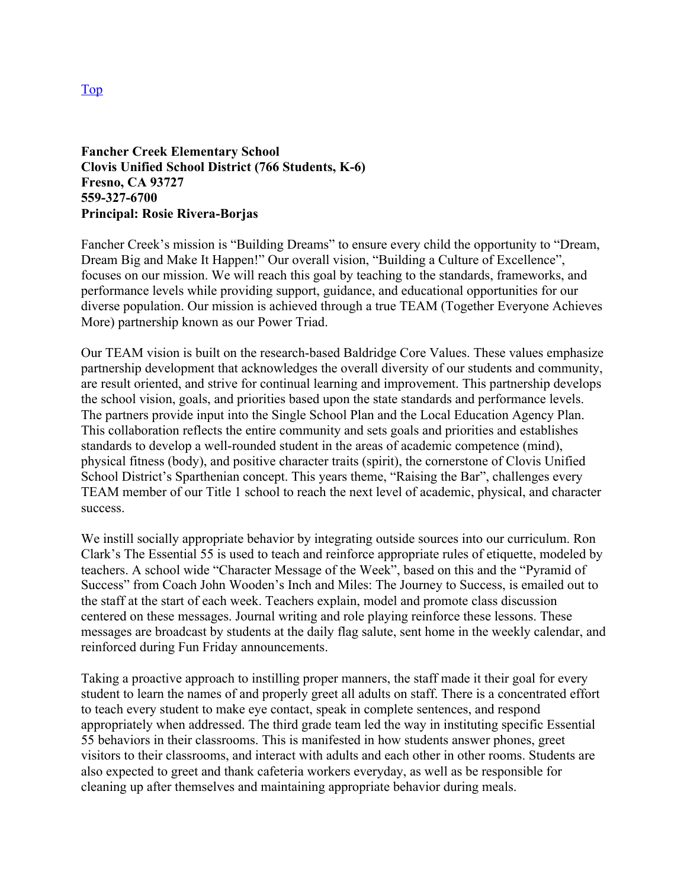#### **Fancher Creek Elementary School Clovis Unified School District (766 Students, K-6) Fresno, CA 93727 559-327-6700 Principal: Rosie Rivera-Borjas**

Fancher Creek's mission is "Building Dreams" to ensure every child the opportunity to "Dream, Dream Big and Make It Happen!" Our overall vision, "Building a Culture of Excellence", focuses on our mission. We will reach this goal by teaching to the standards, frameworks, and performance levels while providing support, guidance, and educational opportunities for our diverse population. Our mission is achieved through a true TEAM (Together Everyone Achieves More) partnership known as our Power Triad.

Our TEAM vision is built on the research-based Baldridge Core Values. These values emphasize partnership development that acknowledges the overall diversity of our students and community, are result oriented, and strive for continual learning and improvement. This partnership develops the school vision, goals, and priorities based upon the state standards and performance levels. The partners provide input into the Single School Plan and the Local Education Agency Plan. This collaboration reflects the entire community and sets goals and priorities and establishes standards to develop a well-rounded student in the areas of academic competence (mind), physical fitness (body), and positive character traits (spirit), the cornerstone of Clovis Unified School District's Sparthenian concept. This years theme, "Raising the Bar", challenges every TEAM member of our Title 1 school to reach the next level of academic, physical, and character success.

We instill socially appropriate behavior by integrating outside sources into our curriculum. Ron Clark's The Essential 55 is used to teach and reinforce appropriate rules of etiquette, modeled by teachers. A school wide "Character Message of the Week", based on this and the "Pyramid of Success" from Coach John Wooden's Inch and Miles: The Journey to Success, is emailed out to the staff at the start of each week. Teachers explain, model and promote class discussion centered on these messages. Journal writing and role playing reinforce these lessons. These messages are broadcast by students at the daily flag salute, sent home in the weekly calendar, and reinforced during Fun Friday announcements.

Taking a proactive approach to instilling proper manners, the staff made it their goal for every student to learn the names of and properly greet all adults on staff. There is a concentrated effort to teach every student to make eye contact, speak in complete sentences, and respond appropriately when addressed. The third grade team led the way in instituting specific Essential 55 behaviors in their classrooms. This is manifested in how students answer phones, greet visitors to their classrooms, and interact with adults and each other in other rooms. Students are also expected to greet and thank cafeteria workers everyday, as well as be responsible for cleaning up after themselves and maintaining appropriate behavior during meals.

Top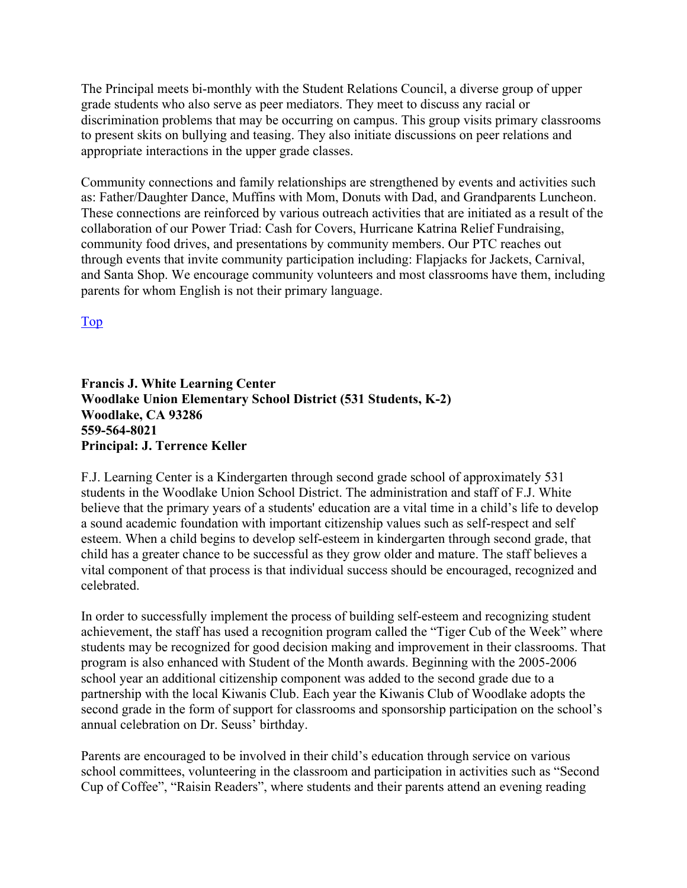The Principal meets bi-monthly with the Student Relations Council, a diverse group of upper grade students who also serve as peer mediators. They meet to discuss any racial or discrimination problems that may be occurring on campus. This group visits primary classrooms to present skits on bullying and teasing. They also initiate discussions on peer relations and appropriate interactions in the upper grade classes.

Community connections and family relationships are strengthened by events and activities such as: Father/Daughter Dance, Muffins with Mom, Donuts with Dad, and Grandparents Luncheon. These connections are reinforced by various outreach activities that are initiated as a result of the collaboration of our Power Triad: Cash for Covers, Hurricane Katrina Relief Fundraising, community food drives, and presentations by community members. Our PTC reaches out through events that invite community participation including: Flapjacks for Jackets, Carnival, and Santa Shop. We encourage community volunteers and most classrooms have them, including parents for whom English is not their primary language.

Top

#### **Francis J. White Learning Center Woodlake Union Elementary School District (531 Students, K-2) Woodlake, CA 93286 559-564-8021 Principal: J. Terrence Keller**

F.J. Learning Center is a Kindergarten through second grade school of approximately 531 students in the Woodlake Union School District. The administration and staff of F.J. White believe that the primary years of a students' education are a vital time in a child's life to develop a sound academic foundation with important citizenship values such as self-respect and self esteem. When a child begins to develop self-esteem in kindergarten through second grade, that child has a greater chance to be successful as they grow older and mature. The staff believes a vital component of that process is that individual success should be encouraged, recognized and celebrated.

In order to successfully implement the process of building self-esteem and recognizing student achievement, the staff has used a recognition program called the "Tiger Cub of the Week" where students may be recognized for good decision making and improvement in their classrooms. That program is also enhanced with Student of the Month awards. Beginning with the 2005-2006 school year an additional citizenship component was added to the second grade due to a partnership with the local Kiwanis Club. Each year the Kiwanis Club of Woodlake adopts the second grade in the form of support for classrooms and sponsorship participation on the school's annual celebration on Dr. Seuss' birthday.

Parents are encouraged to be involved in their child's education through service on various school committees, volunteering in the classroom and participation in activities such as "Second Cup of Coffee", "Raisin Readers", where students and their parents attend an evening reading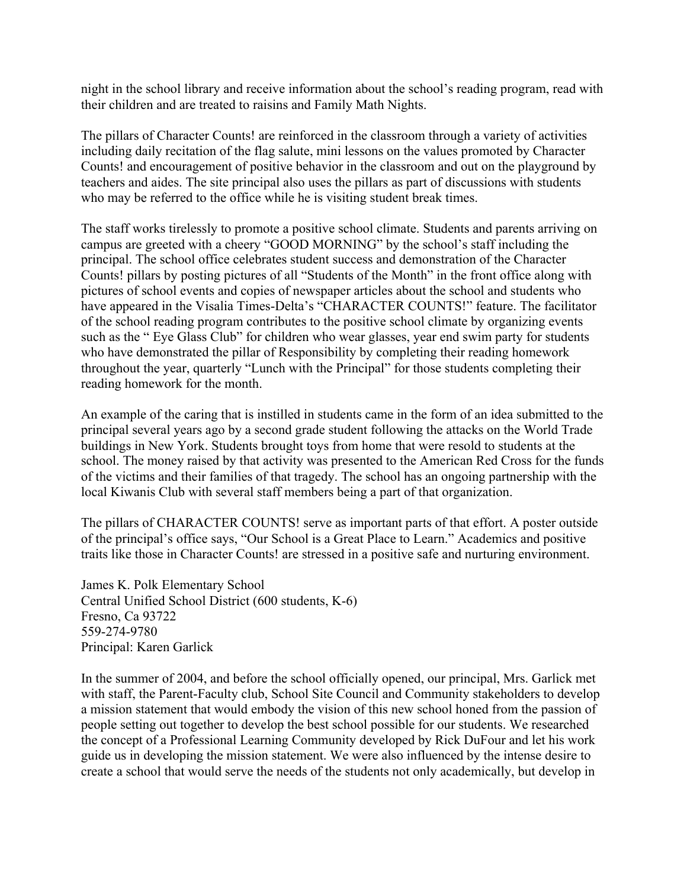night in the school library and receive information about the school's reading program, read with their children and are treated to raisins and Family Math Nights.

The pillars of Character Counts! are reinforced in the classroom through a variety of activities including daily recitation of the flag salute, mini lessons on the values promoted by Character Counts! and encouragement of positive behavior in the classroom and out on the playground by teachers and aides. The site principal also uses the pillars as part of discussions with students who may be referred to the office while he is visiting student break times.

The staff works tirelessly to promote a positive school climate. Students and parents arriving on campus are greeted with a cheery "GOOD MORNING" by the school's staff including the principal. The school office celebrates student success and demonstration of the Character Counts! pillars by posting pictures of all "Students of the Month" in the front office along with pictures of school events and copies of newspaper articles about the school and students who have appeared in the Visalia Times-Delta's "CHARACTER COUNTS!" feature. The facilitator of the school reading program contributes to the positive school climate by organizing events such as the " Eye Glass Club" for children who wear glasses, year end swim party for students who have demonstrated the pillar of Responsibility by completing their reading homework throughout the year, quarterly "Lunch with the Principal" for those students completing their reading homework for the month.

An example of the caring that is instilled in students came in the form of an idea submitted to the principal several years ago by a second grade student following the attacks on the World Trade buildings in New York. Students brought toys from home that were resold to students at the school. The money raised by that activity was presented to the American Red Cross for the funds of the victims and their families of that tragedy. The school has an ongoing partnership with the local Kiwanis Club with several staff members being a part of that organization.

The pillars of CHARACTER COUNTS! serve as important parts of that effort. A poster outside of the principal's office says, "Our School is a Great Place to Learn." Academics and positive traits like those in Character Counts! are stressed in a positive safe and nurturing environment.

James K. Polk Elementary School Central Unified School District (600 students, K-6) Fresno, Ca 93722 559-274-9780 Principal: Karen Garlick

In the summer of 2004, and before the school officially opened, our principal, Mrs. Garlick met with staff, the Parent-Faculty club, School Site Council and Community stakeholders to develop a mission statement that would embody the vision of this new school honed from the passion of people setting out together to develop the best school possible for our students. We researched the concept of a Professional Learning Community developed by Rick DuFour and let his work guide us in developing the mission statement. We were also influenced by the intense desire to create a school that would serve the needs of the students not only academically, but develop in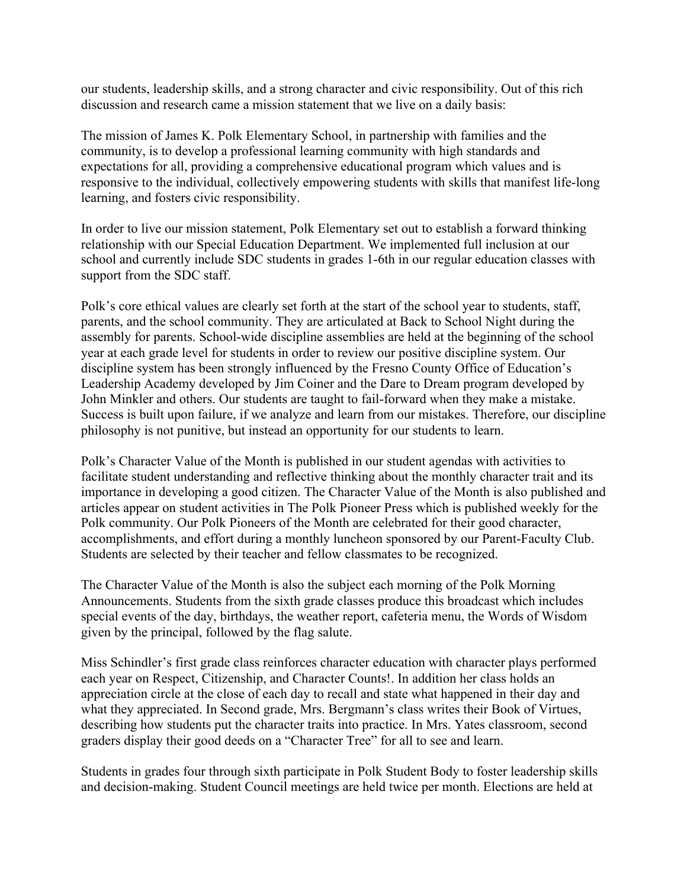our students, leadership skills, and a strong character and civic responsibility. Out of this rich discussion and research came a mission statement that we live on a daily basis:

The mission of James K. Polk Elementary School, in partnership with families and the community, is to develop a professional learning community with high standards and expectations for all, providing a comprehensive educational program which values and is responsive to the individual, collectively empowering students with skills that manifest life-long learning, and fosters civic responsibility.

In order to live our mission statement, Polk Elementary set out to establish a forward thinking relationship with our Special Education Department. We implemented full inclusion at our school and currently include SDC students in grades 1-6th in our regular education classes with support from the SDC staff.

Polk's core ethical values are clearly set forth at the start of the school year to students, staff, parents, and the school community. They are articulated at Back to School Night during the assembly for parents. School-wide discipline assemblies are held at the beginning of the school year at each grade level for students in order to review our positive discipline system. Our discipline system has been strongly influenced by the Fresno County Office of Education's Leadership Academy developed by Jim Coiner and the Dare to Dream program developed by John Minkler and others. Our students are taught to fail-forward when they make a mistake. Success is built upon failure, if we analyze and learn from our mistakes. Therefore, our discipline philosophy is not punitive, but instead an opportunity for our students to learn.

Polk's Character Value of the Month is published in our student agendas with activities to facilitate student understanding and reflective thinking about the monthly character trait and its importance in developing a good citizen. The Character Value of the Month is also published and articles appear on student activities in The Polk Pioneer Press which is published weekly for the Polk community. Our Polk Pioneers of the Month are celebrated for their good character, accomplishments, and effort during a monthly luncheon sponsored by our Parent-Faculty Club. Students are selected by their teacher and fellow classmates to be recognized.

The Character Value of the Month is also the subject each morning of the Polk Morning Announcements. Students from the sixth grade classes produce this broadcast which includes special events of the day, birthdays, the weather report, cafeteria menu, the Words of Wisdom given by the principal, followed by the flag salute.

Miss Schindler's first grade class reinforces character education with character plays performed each year on Respect, Citizenship, and Character Counts!. In addition her class holds an appreciation circle at the close of each day to recall and state what happened in their day and what they appreciated. In Second grade, Mrs. Bergmann's class writes their Book of Virtues, describing how students put the character traits into practice. In Mrs. Yates classroom, second graders display their good deeds on a "Character Tree" for all to see and learn.

Students in grades four through sixth participate in Polk Student Body to foster leadership skills and decision-making. Student Council meetings are held twice per month. Elections are held at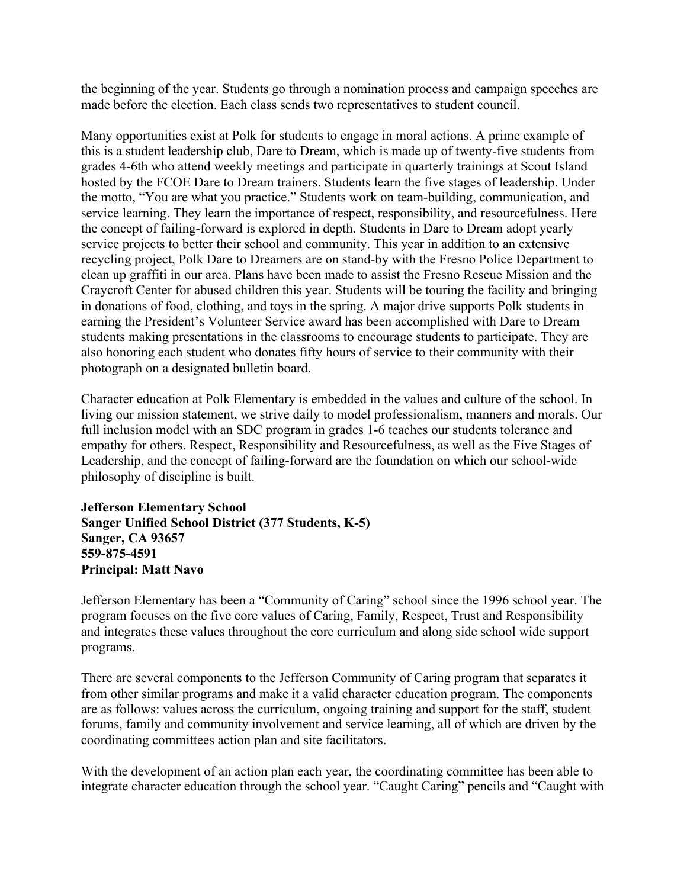the beginning of the year. Students go through a nomination process and campaign speeches are made before the election. Each class sends two representatives to student council.

Many opportunities exist at Polk for students to engage in moral actions. A prime example of this is a student leadership club, Dare to Dream, which is made up of twenty-five students from grades 4-6th who attend weekly meetings and participate in quarterly trainings at Scout Island hosted by the FCOE Dare to Dream trainers. Students learn the five stages of leadership. Under the motto, "You are what you practice." Students work on team-building, communication, and service learning. They learn the importance of respect, responsibility, and resourcefulness. Here the concept of failing-forward is explored in depth. Students in Dare to Dream adopt yearly service projects to better their school and community. This year in addition to an extensive recycling project, Polk Dare to Dreamers are on stand-by with the Fresno Police Department to clean up graffiti in our area. Plans have been made to assist the Fresno Rescue Mission and the Craycroft Center for abused children this year. Students will be touring the facility and bringing in donations of food, clothing, and toys in the spring. A major drive supports Polk students in earning the President's Volunteer Service award has been accomplished with Dare to Dream students making presentations in the classrooms to encourage students to participate. They are also honoring each student who donates fifty hours of service to their community with their photograph on a designated bulletin board.

Character education at Polk Elementary is embedded in the values and culture of the school. In living our mission statement, we strive daily to model professionalism, manners and morals. Our full inclusion model with an SDC program in grades 1-6 teaches our students tolerance and empathy for others. Respect, Responsibility and Resourcefulness, as well as the Five Stages of Leadership, and the concept of failing-forward are the foundation on which our school-wide philosophy of discipline is built.

**Jefferson Elementary School Sanger Unified School District (377 Students, K-5) Sanger, CA 93657 559-875-4591 Principal: Matt Navo** 

Jefferson Elementary has been a "Community of Caring" school since the 1996 school year. The program focuses on the five core values of Caring, Family, Respect, Trust and Responsibility and integrates these values throughout the core curriculum and along side school wide support programs.

There are several components to the Jefferson Community of Caring program that separates it from other similar programs and make it a valid character education program. The components are as follows: values across the curriculum, ongoing training and support for the staff, student forums, family and community involvement and service learning, all of which are driven by the coordinating committees action plan and site facilitators.

With the development of an action plan each year, the coordinating committee has been able to integrate character education through the school year. "Caught Caring" pencils and "Caught with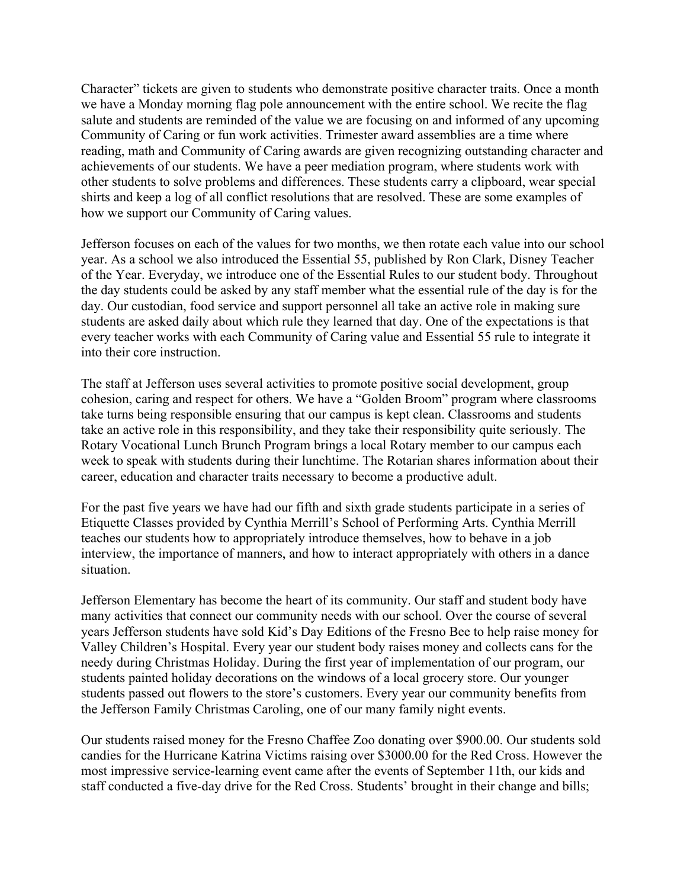Character" tickets are given to students who demonstrate positive character traits. Once a month we have a Monday morning flag pole announcement with the entire school. We recite the flag salute and students are reminded of the value we are focusing on and informed of any upcoming Community of Caring or fun work activities. Trimester award assemblies are a time where reading, math and Community of Caring awards are given recognizing outstanding character and achievements of our students. We have a peer mediation program, where students work with other students to solve problems and differences. These students carry a clipboard, wear special shirts and keep a log of all conflict resolutions that are resolved. These are some examples of how we support our Community of Caring values.

Jefferson focuses on each of the values for two months, we then rotate each value into our school year. As a school we also introduced the Essential 55, published by Ron Clark, Disney Teacher of the Year. Everyday, we introduce one of the Essential Rules to our student body. Throughout the day students could be asked by any staff member what the essential rule of the day is for the day. Our custodian, food service and support personnel all take an active role in making sure students are asked daily about which rule they learned that day. One of the expectations is that every teacher works with each Community of Caring value and Essential 55 rule to integrate it into their core instruction.

The staff at Jefferson uses several activities to promote positive social development, group cohesion, caring and respect for others. We have a "Golden Broom" program where classrooms take turns being responsible ensuring that our campus is kept clean. Classrooms and students take an active role in this responsibility, and they take their responsibility quite seriously. The Rotary Vocational Lunch Brunch Program brings a local Rotary member to our campus each week to speak with students during their lunchtime. The Rotarian shares information about their career, education and character traits necessary to become a productive adult.

For the past five years we have had our fifth and sixth grade students participate in a series of Etiquette Classes provided by Cynthia Merrill's School of Performing Arts. Cynthia Merrill teaches our students how to appropriately introduce themselves, how to behave in a job interview, the importance of manners, and how to interact appropriately with others in a dance situation.

Jefferson Elementary has become the heart of its community. Our staff and student body have many activities that connect our community needs with our school. Over the course of several years Jefferson students have sold Kid's Day Editions of the Fresno Bee to help raise money for Valley Children's Hospital. Every year our student body raises money and collects cans for the needy during Christmas Holiday. During the first year of implementation of our program, our students painted holiday decorations on the windows of a local grocery store. Our younger students passed out flowers to the store's customers. Every year our community benefits from the Jefferson Family Christmas Caroling, one of our many family night events.

Our students raised money for the Fresno Chaffee Zoo donating over \$900.00. Our students sold candies for the Hurricane Katrina Victims raising over \$3000.00 for the Red Cross. However the most impressive service-learning event came after the events of September 11th, our kids and staff conducted a five-day drive for the Red Cross. Students' brought in their change and bills;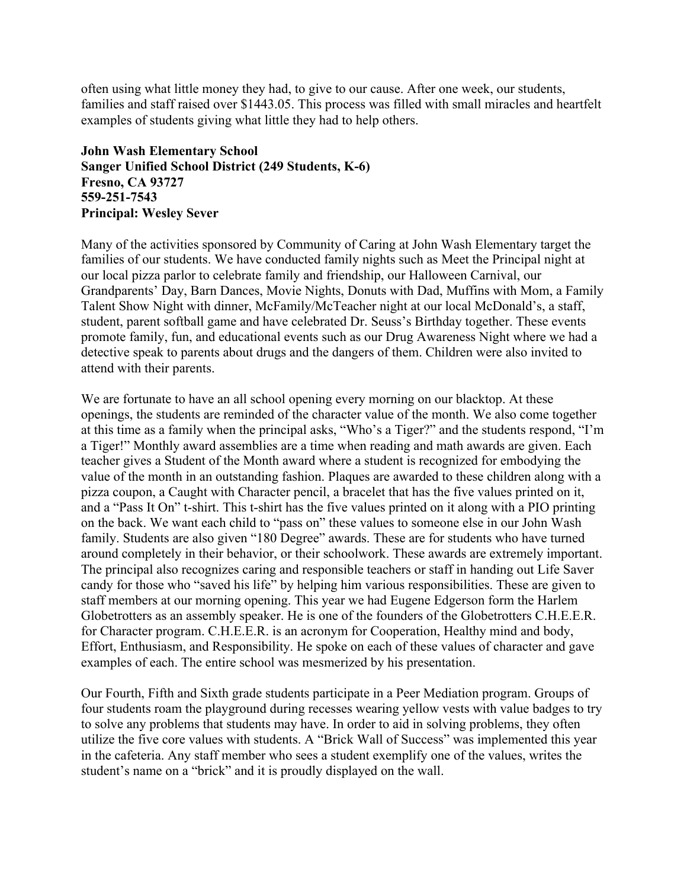often using what little money they had, to give to our cause. After one week, our students, families and staff raised over \$1443.05. This process was filled with small miracles and heartfelt examples of students giving what little they had to help others.

#### **John Wash Elementary School Sanger Unified School District (249 Students, K-6) Fresno, CA 93727 559-251-7543 Principal: Wesley Sever**

Many of the activities sponsored by Community of Caring at John Wash Elementary target the families of our students. We have conducted family nights such as Meet the Principal night at our local pizza parlor to celebrate family and friendship, our Halloween Carnival, our Grandparents' Day, Barn Dances, Movie Nights, Donuts with Dad, Muffins with Mom, a Family Talent Show Night with dinner, McFamily/McTeacher night at our local McDonald's, a staff, student, parent softball game and have celebrated Dr. Seuss's Birthday together. These events promote family, fun, and educational events such as our Drug Awareness Night where we had a detective speak to parents about drugs and the dangers of them. Children were also invited to attend with their parents.

We are fortunate to have an all school opening every morning on our blacktop. At these openings, the students are reminded of the character value of the month. We also come together at this time as a family when the principal asks, "Who's a Tiger?" and the students respond, "I'm a Tiger!" Monthly award assemblies are a time when reading and math awards are given. Each teacher gives a Student of the Month award where a student is recognized for embodying the value of the month in an outstanding fashion. Plaques are awarded to these children along with a pizza coupon, a Caught with Character pencil, a bracelet that has the five values printed on it, and a "Pass It On" t-shirt. This t-shirt has the five values printed on it along with a PIO printing on the back. We want each child to "pass on" these values to someone else in our John Wash family. Students are also given "180 Degree" awards. These are for students who have turned around completely in their behavior, or their schoolwork. These awards are extremely important. The principal also recognizes caring and responsible teachers or staff in handing out Life Saver candy for those who "saved his life" by helping him various responsibilities. These are given to staff members at our morning opening. This year we had Eugene Edgerson form the Harlem Globetrotters as an assembly speaker. He is one of the founders of the Globetrotters C.H.E.E.R. for Character program. C.H.E.E.R. is an acronym for Cooperation, Healthy mind and body, Effort, Enthusiasm, and Responsibility. He spoke on each of these values of character and gave examples of each. The entire school was mesmerized by his presentation.

Our Fourth, Fifth and Sixth grade students participate in a Peer Mediation program. Groups of four students roam the playground during recesses wearing yellow vests with value badges to try to solve any problems that students may have. In order to aid in solving problems, they often utilize the five core values with students. A "Brick Wall of Success" was implemented this year in the cafeteria. Any staff member who sees a student exemplify one of the values, writes the student's name on a "brick" and it is proudly displayed on the wall.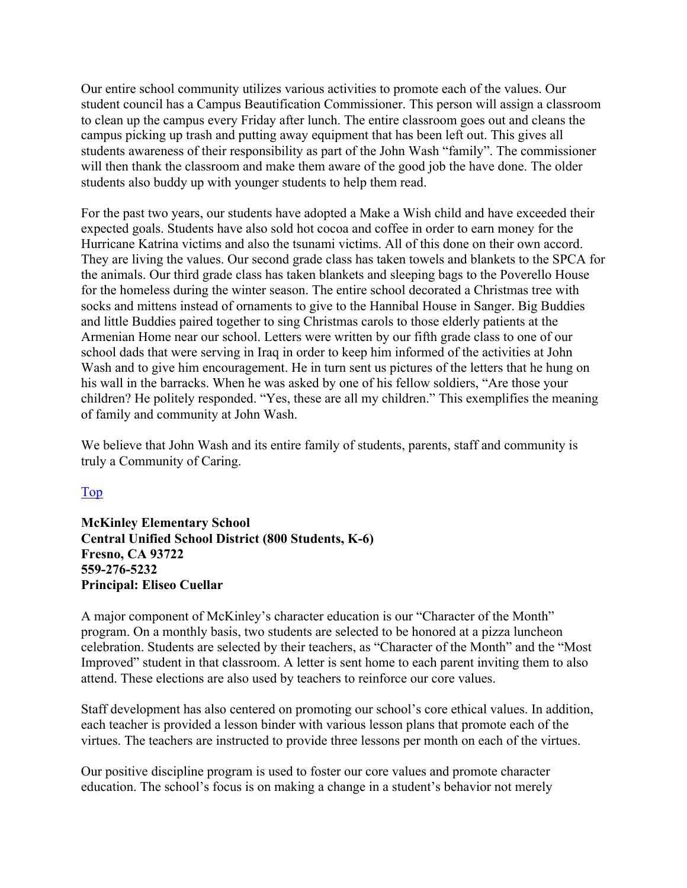Our entire school community utilizes various activities to promote each of the values. Our student council has a Campus Beautification Commissioner. This person will assign a classroom to clean up the campus every Friday after lunch. The entire classroom goes out and cleans the campus picking up trash and putting away equipment that has been left out. This gives all students awareness of their responsibility as part of the John Wash "family". The commissioner will then thank the classroom and make them aware of the good job the have done. The older students also buddy up with younger students to help them read.

For the past two years, our students have adopted a Make a Wish child and have exceeded their expected goals. Students have also sold hot cocoa and coffee in order to earn money for the Hurricane Katrina victims and also the tsunami victims. All of this done on their own accord. They are living the values. Our second grade class has taken towels and blankets to the SPCA for the animals. Our third grade class has taken blankets and sleeping bags to the Poverello House for the homeless during the winter season. The entire school decorated a Christmas tree with socks and mittens instead of ornaments to give to the Hannibal House in Sanger. Big Buddies and little Buddies paired together to sing Christmas carols to those elderly patients at the Armenian Home near our school. Letters were written by our fifth grade class to one of our school dads that were serving in Iraq in order to keep him informed of the activities at John Wash and to give him encouragement. He in turn sent us pictures of the letters that he hung on his wall in the barracks. When he was asked by one of his fellow soldiers, "Are those your children? He politely responded. "Yes, these are all my children." This exemplifies the meaning of family and community at John Wash.

We believe that John Wash and its entire family of students, parents, staff and community is truly a Community of Caring.

#### Top

**McKinley Elementary School Central Unified School District (800 Students, K-6) Fresno, CA 93722 559-276-5232 Principal: Eliseo Cuellar** 

A major component of McKinley's character education is our "Character of the Month" program. On a monthly basis, two students are selected to be honored at a pizza luncheon celebration. Students are selected by their teachers, as "Character of the Month" and the "Most Improved" student in that classroom. A letter is sent home to each parent inviting them to also attend. These elections are also used by teachers to reinforce our core values.

Staff development has also centered on promoting our school's core ethical values. In addition, each teacher is provided a lesson binder with various lesson plans that promote each of the virtues. The teachers are instructed to provide three lessons per month on each of the virtues.

Our positive discipline program is used to foster our core values and promote character education. The school's focus is on making a change in a student's behavior not merely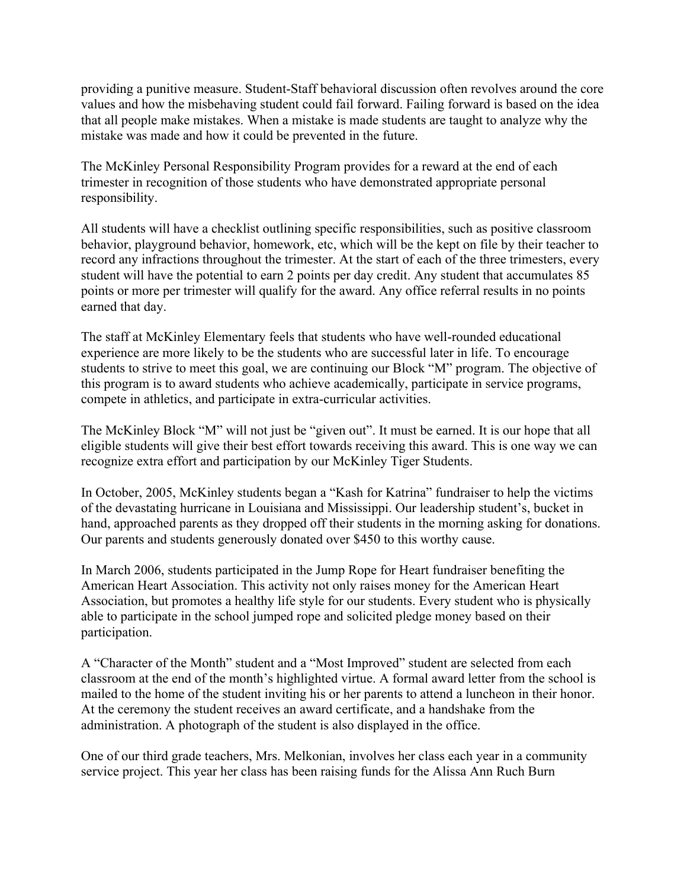providing a punitive measure. Student-Staff behavioral discussion often revolves around the core values and how the misbehaving student could fail forward. Failing forward is based on the idea that all people make mistakes. When a mistake is made students are taught to analyze why the mistake was made and how it could be prevented in the future.

The McKinley Personal Responsibility Program provides for a reward at the end of each trimester in recognition of those students who have demonstrated appropriate personal responsibility.

All students will have a checklist outlining specific responsibilities, such as positive classroom behavior, playground behavior, homework, etc, which will be the kept on file by their teacher to record any infractions throughout the trimester. At the start of each of the three trimesters, every student will have the potential to earn 2 points per day credit. Any student that accumulates 85 points or more per trimester will qualify for the award. Any office referral results in no points earned that day.

The staff at McKinley Elementary feels that students who have well-rounded educational experience are more likely to be the students who are successful later in life. To encourage students to strive to meet this goal, we are continuing our Block "M" program. The objective of this program is to award students who achieve academically, participate in service programs, compete in athletics, and participate in extra-curricular activities.

The McKinley Block "M" will not just be "given out". It must be earned. It is our hope that all eligible students will give their best effort towards receiving this award. This is one way we can recognize extra effort and participation by our McKinley Tiger Students.

In October, 2005, McKinley students began a "Kash for Katrina" fundraiser to help the victims of the devastating hurricane in Louisiana and Mississippi. Our leadership student's, bucket in hand, approached parents as they dropped off their students in the morning asking for donations. Our parents and students generously donated over \$450 to this worthy cause.

In March 2006, students participated in the Jump Rope for Heart fundraiser benefiting the American Heart Association. This activity not only raises money for the American Heart Association, but promotes a healthy life style for our students. Every student who is physically able to participate in the school jumped rope and solicited pledge money based on their participation.

A "Character of the Month" student and a "Most Improved" student are selected from each classroom at the end of the month's highlighted virtue. A formal award letter from the school is mailed to the home of the student inviting his or her parents to attend a luncheon in their honor. At the ceremony the student receives an award certificate, and a handshake from the administration. A photograph of the student is also displayed in the office.

One of our third grade teachers, Mrs. Melkonian, involves her class each year in a community service project. This year her class has been raising funds for the Alissa Ann Ruch Burn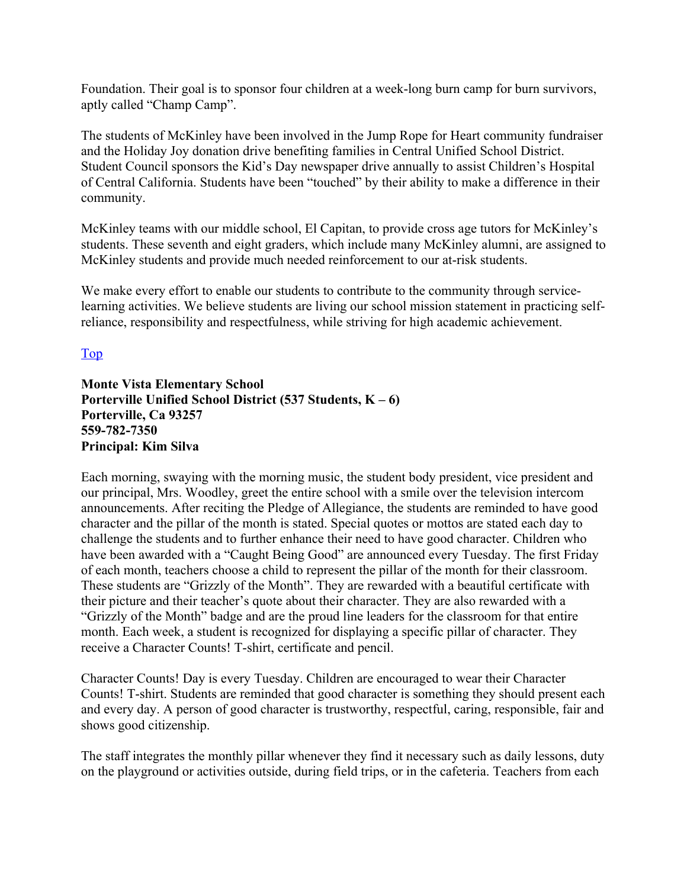Foundation. Their goal is to sponsor four children at a week-long burn camp for burn survivors, aptly called "Champ Camp".

The students of McKinley have been involved in the Jump Rope for Heart community fundraiser and the Holiday Joy donation drive benefiting families in Central Unified School District. Student Council sponsors the Kid's Day newspaper drive annually to assist Children's Hospital of Central California. Students have been "touched" by their ability to make a difference in their community.

McKinley teams with our middle school, El Capitan, to provide cross age tutors for McKinley's students. These seventh and eight graders, which include many McKinley alumni, are assigned to McKinley students and provide much needed reinforcement to our at-risk students.

We make every effort to enable our students to contribute to the community through servicelearning activities. We believe students are living our school mission statement in practicing selfreliance, responsibility and respectfulness, while striving for high academic achievement.

Top

#### **Monte Vista Elementary School Porterville Unified School District (537 Students, K – 6) Porterville, Ca 93257 559-782-7350 Principal: Kim Silva**

Each morning, swaying with the morning music, the student body president, vice president and our principal, Mrs. Woodley, greet the entire school with a smile over the television intercom announcements. After reciting the Pledge of Allegiance, the students are reminded to have good character and the pillar of the month is stated. Special quotes or mottos are stated each day to challenge the students and to further enhance their need to have good character. Children who have been awarded with a "Caught Being Good" are announced every Tuesday. The first Friday of each month, teachers choose a child to represent the pillar of the month for their classroom. These students are "Grizzly of the Month". They are rewarded with a beautiful certificate with their picture and their teacher's quote about their character. They are also rewarded with a "Grizzly of the Month" badge and are the proud line leaders for the classroom for that entire month. Each week, a student is recognized for displaying a specific pillar of character. They receive a Character Counts! T-shirt, certificate and pencil.

Character Counts! Day is every Tuesday. Children are encouraged to wear their Character Counts! T-shirt. Students are reminded that good character is something they should present each and every day. A person of good character is trustworthy, respectful, caring, responsible, fair and shows good citizenship.

The staff integrates the monthly pillar whenever they find it necessary such as daily lessons, duty on the playground or activities outside, during field trips, or in the cafeteria. Teachers from each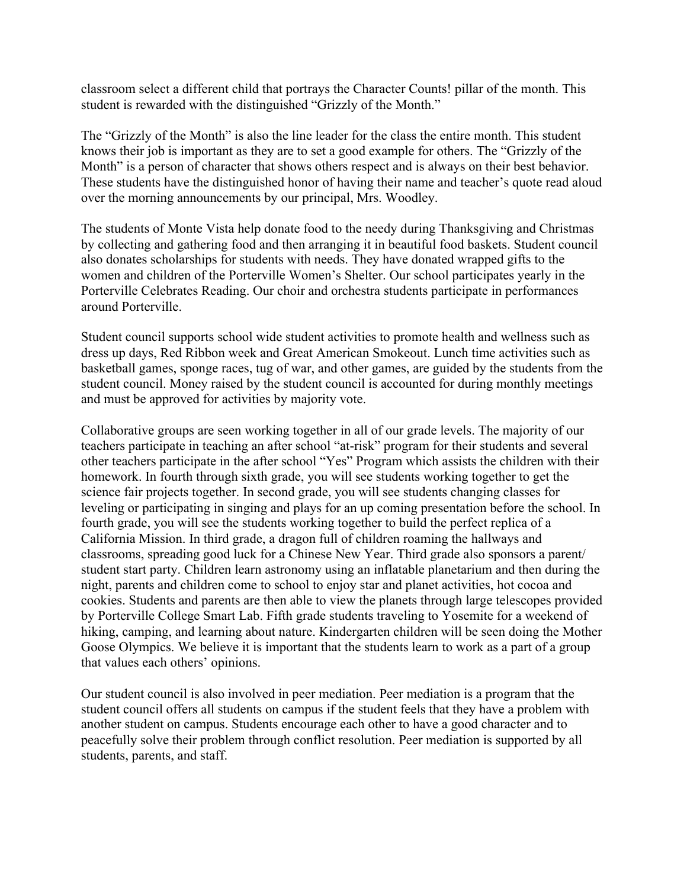classroom select a different child that portrays the Character Counts! pillar of the month. This student is rewarded with the distinguished "Grizzly of the Month."

The "Grizzly of the Month" is also the line leader for the class the entire month. This student knows their job is important as they are to set a good example for others. The "Grizzly of the Month" is a person of character that shows others respect and is always on their best behavior. These students have the distinguished honor of having their name and teacher's quote read aloud over the morning announcements by our principal, Mrs. Woodley.

The students of Monte Vista help donate food to the needy during Thanksgiving and Christmas by collecting and gathering food and then arranging it in beautiful food baskets. Student council also donates scholarships for students with needs. They have donated wrapped gifts to the women and children of the Porterville Women's Shelter. Our school participates yearly in the Porterville Celebrates Reading. Our choir and orchestra students participate in performances around Porterville.

Student council supports school wide student activities to promote health and wellness such as dress up days, Red Ribbon week and Great American Smokeout. Lunch time activities such as basketball games, sponge races, tug of war, and other games, are guided by the students from the student council. Money raised by the student council is accounted for during monthly meetings and must be approved for activities by majority vote.

Collaborative groups are seen working together in all of our grade levels. The majority of our teachers participate in teaching an after school "at-risk" program for their students and several other teachers participate in the after school "Yes" Program which assists the children with their homework. In fourth through sixth grade, you will see students working together to get the science fair projects together. In second grade, you will see students changing classes for leveling or participating in singing and plays for an up coming presentation before the school. In fourth grade, you will see the students working together to build the perfect replica of a California Mission. In third grade, a dragon full of children roaming the hallways and classrooms, spreading good luck for a Chinese New Year. Third grade also sponsors a parent/ student start party. Children learn astronomy using an inflatable planetarium and then during the night, parents and children come to school to enjoy star and planet activities, hot cocoa and cookies. Students and parents are then able to view the planets through large telescopes provided by Porterville College Smart Lab. Fifth grade students traveling to Yosemite for a weekend of hiking, camping, and learning about nature. Kindergarten children will be seen doing the Mother Goose Olympics. We believe it is important that the students learn to work as a part of a group that values each others' opinions.

Our student council is also involved in peer mediation. Peer mediation is a program that the student council offers all students on campus if the student feels that they have a problem with another student on campus. Students encourage each other to have a good character and to peacefully solve their problem through conflict resolution. Peer mediation is supported by all students, parents, and staff.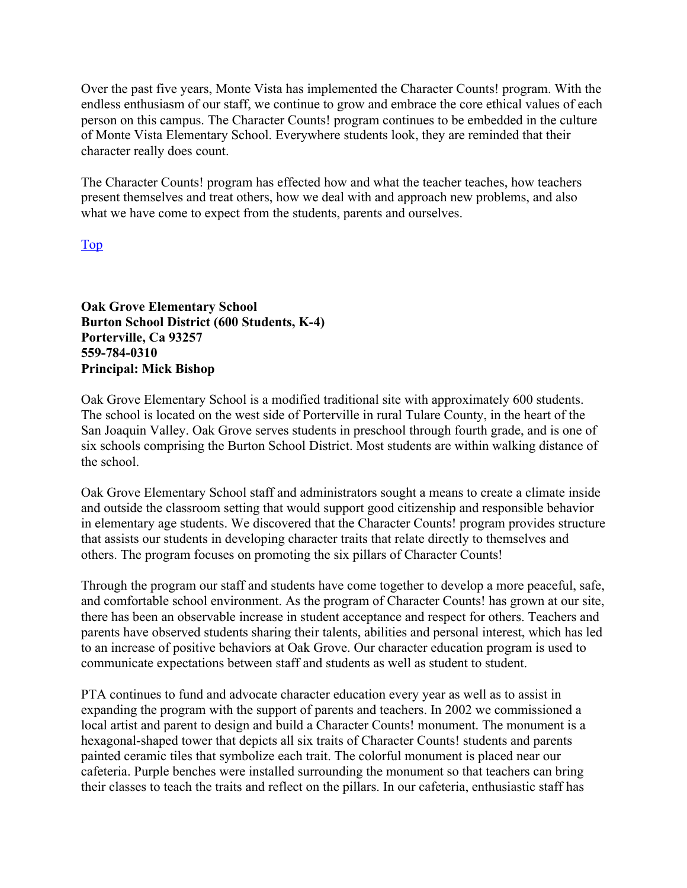Over the past five years, Monte Vista has implemented the Character Counts! program. With the endless enthusiasm of our staff, we continue to grow and embrace the core ethical values of each person on this campus. The Character Counts! program continues to be embedded in the culture of Monte Vista Elementary School. Everywhere students look, they are reminded that their character really does count.

The Character Counts! program has effected how and what the teacher teaches, how teachers present themselves and treat others, how we deal with and approach new problems, and also what we have come to expect from the students, parents and ourselves.

Top

**Oak Grove Elementary School Burton School District (600 Students, K-4) Porterville, Ca 93257 559-784-0310 Principal: Mick Bishop** 

Oak Grove Elementary School is a modified traditional site with approximately 600 students. The school is located on the west side of Porterville in rural Tulare County, in the heart of the San Joaquin Valley. Oak Grove serves students in preschool through fourth grade, and is one of six schools comprising the Burton School District. Most students are within walking distance of the school.

Oak Grove Elementary School staff and administrators sought a means to create a climate inside and outside the classroom setting that would support good citizenship and responsible behavior in elementary age students. We discovered that the Character Counts! program provides structure that assists our students in developing character traits that relate directly to themselves and others. The program focuses on promoting the six pillars of Character Counts!

Through the program our staff and students have come together to develop a more peaceful, safe, and comfortable school environment. As the program of Character Counts! has grown at our site, there has been an observable increase in student acceptance and respect for others. Teachers and parents have observed students sharing their talents, abilities and personal interest, which has led to an increase of positive behaviors at Oak Grove. Our character education program is used to communicate expectations between staff and students as well as student to student.

PTA continues to fund and advocate character education every year as well as to assist in expanding the program with the support of parents and teachers. In 2002 we commissioned a local artist and parent to design and build a Character Counts! monument. The monument is a hexagonal-shaped tower that depicts all six traits of Character Counts! students and parents painted ceramic tiles that symbolize each trait. The colorful monument is placed near our cafeteria. Purple benches were installed surrounding the monument so that teachers can bring their classes to teach the traits and reflect on the pillars. In our cafeteria, enthusiastic staff has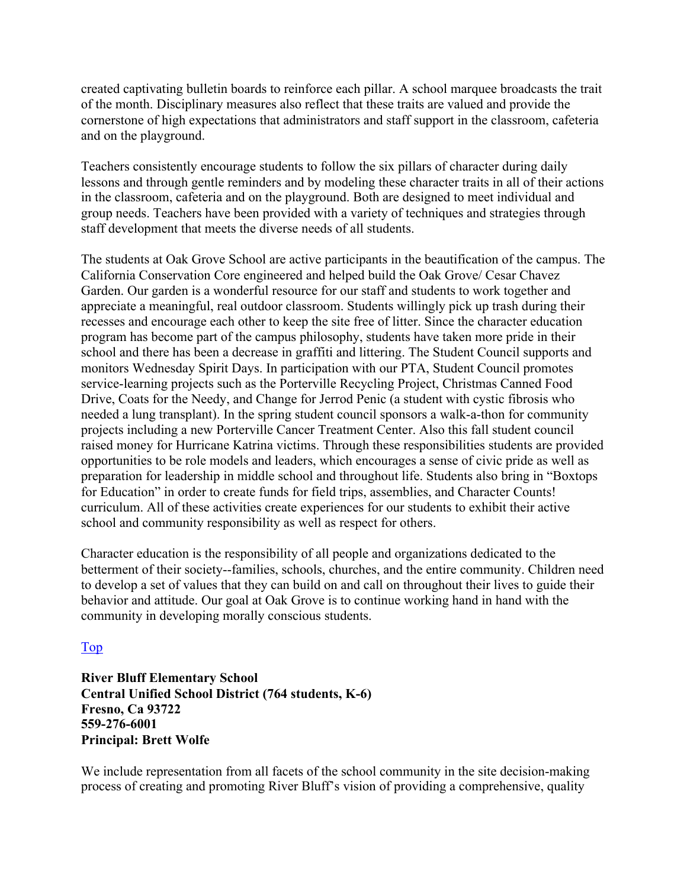created captivating bulletin boards to reinforce each pillar. A school marquee broadcasts the trait of the month. Disciplinary measures also reflect that these traits are valued and provide the cornerstone of high expectations that administrators and staff support in the classroom, cafeteria and on the playground.

Teachers consistently encourage students to follow the six pillars of character during daily lessons and through gentle reminders and by modeling these character traits in all of their actions in the classroom, cafeteria and on the playground. Both are designed to meet individual and group needs. Teachers have been provided with a variety of techniques and strategies through staff development that meets the diverse needs of all students.

The students at Oak Grove School are active participants in the beautification of the campus. The California Conservation Core engineered and helped build the Oak Grove/ Cesar Chavez Garden. Our garden is a wonderful resource for our staff and students to work together and appreciate a meaningful, real outdoor classroom. Students willingly pick up trash during their recesses and encourage each other to keep the site free of litter. Since the character education program has become part of the campus philosophy, students have taken more pride in their school and there has been a decrease in graffiti and littering. The Student Council supports and monitors Wednesday Spirit Days. In participation with our PTA, Student Council promotes service-learning projects such as the Porterville Recycling Project, Christmas Canned Food Drive, Coats for the Needy, and Change for Jerrod Penic (a student with cystic fibrosis who needed a lung transplant). In the spring student council sponsors a walk-a-thon for community projects including a new Porterville Cancer Treatment Center. Also this fall student council raised money for Hurricane Katrina victims. Through these responsibilities students are provided opportunities to be role models and leaders, which encourages a sense of civic pride as well as preparation for leadership in middle school and throughout life. Students also bring in "Boxtops for Education" in order to create funds for field trips, assemblies, and Character Counts! curriculum. All of these activities create experiences for our students to exhibit their active school and community responsibility as well as respect for others.

Character education is the responsibility of all people and organizations dedicated to the betterment of their society--families, schools, churches, and the entire community. Children need to develop a set of values that they can build on and call on throughout their lives to guide their behavior and attitude. Our goal at Oak Grove is to continue working hand in hand with the community in developing morally conscious students.

#### Top

**River Bluff Elementary School Central Unified School District (764 students, K-6) Fresno, Ca 93722 559-276-6001 Principal: Brett Wolfe** 

We include representation from all facets of the school community in the site decision-making process of creating and promoting River Bluff's vision of providing a comprehensive, quality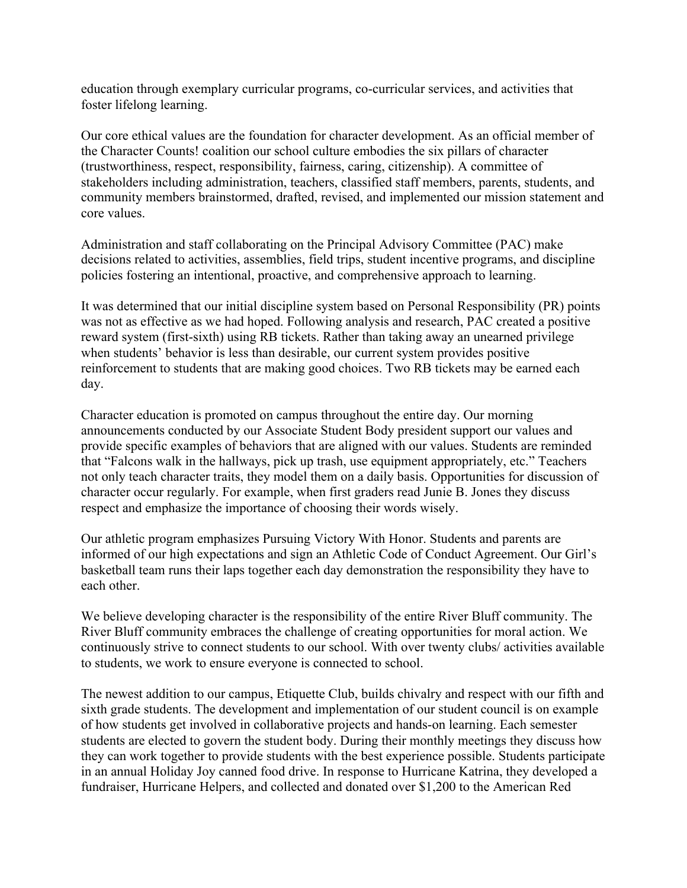education through exemplary curricular programs, co-curricular services, and activities that foster lifelong learning.

Our core ethical values are the foundation for character development. As an official member of the Character Counts! coalition our school culture embodies the six pillars of character (trustworthiness, respect, responsibility, fairness, caring, citizenship). A committee of stakeholders including administration, teachers, classified staff members, parents, students, and community members brainstormed, drafted, revised, and implemented our mission statement and core values.

Administration and staff collaborating on the Principal Advisory Committee (PAC) make decisions related to activities, assemblies, field trips, student incentive programs, and discipline policies fostering an intentional, proactive, and comprehensive approach to learning.

It was determined that our initial discipline system based on Personal Responsibility (PR) points was not as effective as we had hoped. Following analysis and research, PAC created a positive reward system (first-sixth) using RB tickets. Rather than taking away an unearned privilege when students' behavior is less than desirable, our current system provides positive reinforcement to students that are making good choices. Two RB tickets may be earned each day.

Character education is promoted on campus throughout the entire day. Our morning announcements conducted by our Associate Student Body president support our values and provide specific examples of behaviors that are aligned with our values. Students are reminded that "Falcons walk in the hallways, pick up trash, use equipment appropriately, etc." Teachers not only teach character traits, they model them on a daily basis. Opportunities for discussion of character occur regularly. For example, when first graders read Junie B. Jones they discuss respect and emphasize the importance of choosing their words wisely.

Our athletic program emphasizes Pursuing Victory With Honor. Students and parents are informed of our high expectations and sign an Athletic Code of Conduct Agreement. Our Girl's basketball team runs their laps together each day demonstration the responsibility they have to each other.

We believe developing character is the responsibility of the entire River Bluff community. The River Bluff community embraces the challenge of creating opportunities for moral action. We continuously strive to connect students to our school. With over twenty clubs/ activities available to students, we work to ensure everyone is connected to school.

The newest addition to our campus, Etiquette Club, builds chivalry and respect with our fifth and sixth grade students. The development and implementation of our student council is on example of how students get involved in collaborative projects and hands-on learning. Each semester students are elected to govern the student body. During their monthly meetings they discuss how they can work together to provide students with the best experience possible. Students participate in an annual Holiday Joy canned food drive. In response to Hurricane Katrina, they developed a fundraiser, Hurricane Helpers, and collected and donated over \$1,200 to the American Red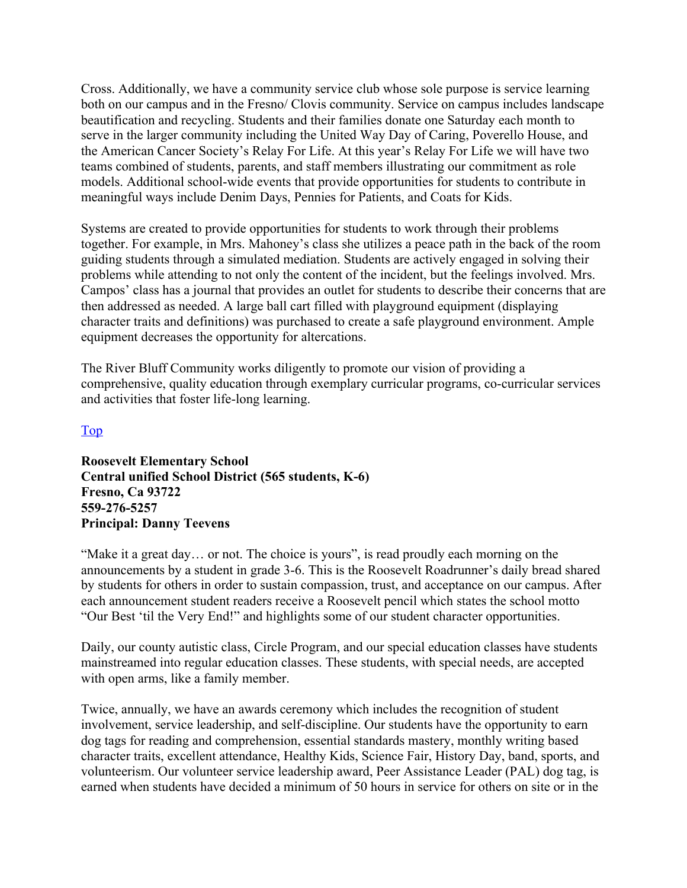Cross. Additionally, we have a community service club whose sole purpose is service learning both on our campus and in the Fresno/ Clovis community. Service on campus includes landscape beautification and recycling. Students and their families donate one Saturday each month to serve in the larger community including the United Way Day of Caring, Poverello House, and the American Cancer Society's Relay For Life. At this year's Relay For Life we will have two teams combined of students, parents, and staff members illustrating our commitment as role models. Additional school-wide events that provide opportunities for students to contribute in meaningful ways include Denim Days, Pennies for Patients, and Coats for Kids.

Systems are created to provide opportunities for students to work through their problems together. For example, in Mrs. Mahoney's class she utilizes a peace path in the back of the room guiding students through a simulated mediation. Students are actively engaged in solving their problems while attending to not only the content of the incident, but the feelings involved. Mrs. Campos' class has a journal that provides an outlet for students to describe their concerns that are then addressed as needed. A large ball cart filled with playground equipment (displaying character traits and definitions) was purchased to create a safe playground environment. Ample equipment decreases the opportunity for altercations.

The River Bluff Community works diligently to promote our vision of providing a comprehensive, quality education through exemplary curricular programs, co-curricular services and activities that foster life-long learning.

#### Top

**Roosevelt Elementary School Central unified School District (565 students, K-6) Fresno, Ca 93722 559-276-5257 Principal: Danny Teevens** 

"Make it a great day... or not. The choice is yours", is read proudly each morning on the announcements by a student in grade 3-6. This is the Roosevelt Roadrunner's daily bread shared by students for others in order to sustain compassion, trust, and acceptance on our campus. After each announcement student readers receive a Roosevelt pencil which states the school motto "Our Best 'til the Very End!" and highlights some of our student character opportunities.

Daily, our county autistic class, Circle Program, and our special education classes have students mainstreamed into regular education classes. These students, with special needs, are accepted with open arms, like a family member.

Twice, annually, we have an awards ceremony which includes the recognition of student involvement, service leadership, and self-discipline. Our students have the opportunity to earn dog tags for reading and comprehension, essential standards mastery, monthly writing based character traits, excellent attendance, Healthy Kids, Science Fair, History Day, band, sports, and volunteerism. Our volunteer service leadership award, Peer Assistance Leader (PAL) dog tag, is earned when students have decided a minimum of 50 hours in service for others on site or in the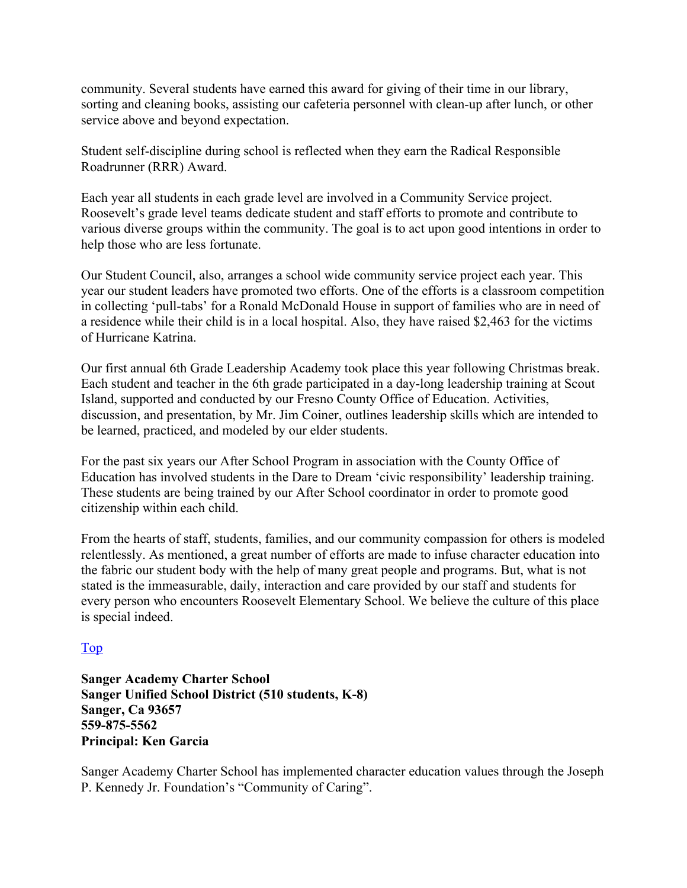community. Several students have earned this award for giving of their time in our library, sorting and cleaning books, assisting our cafeteria personnel with clean-up after lunch, or other service above and beyond expectation.

Student self-discipline during school is reflected when they earn the Radical Responsible Roadrunner (RRR) Award.

Each year all students in each grade level are involved in a Community Service project. Roosevelt's grade level teams dedicate student and staff efforts to promote and contribute to various diverse groups within the community. The goal is to act upon good intentions in order to help those who are less fortunate.

Our Student Council, also, arranges a school wide community service project each year. This year our student leaders have promoted two efforts. One of the efforts is a classroom competition in collecting 'pull-tabs' for a Ronald McDonald House in support of families who are in need of a residence while their child is in a local hospital. Also, they have raised \$2,463 for the victims of Hurricane Katrina.

Our first annual 6th Grade Leadership Academy took place this year following Christmas break. Each student and teacher in the 6th grade participated in a day-long leadership training at Scout Island, supported and conducted by our Fresno County Office of Education. Activities, discussion, and presentation, by Mr. Jim Coiner, outlines leadership skills which are intended to be learned, practiced, and modeled by our elder students.

For the past six years our After School Program in association with the County Office of Education has involved students in the Dare to Dream 'civic responsibility' leadership training. These students are being trained by our After School coordinator in order to promote good citizenship within each child.

From the hearts of staff, students, families, and our community compassion for others is modeled relentlessly. As mentioned, a great number of efforts are made to infuse character education into the fabric our student body with the help of many great people and programs. But, what is not stated is the immeasurable, daily, interaction and care provided by our staff and students for every person who encounters Roosevelt Elementary School. We believe the culture of this place is special indeed.

#### Top

**Sanger Academy Charter School Sanger Unified School District (510 students, K-8) Sanger, Ca 93657 559-875-5562 Principal: Ken Garcia** 

Sanger Academy Charter School has implemented character education values through the Joseph P. Kennedy Jr. Foundation's "Community of Caring".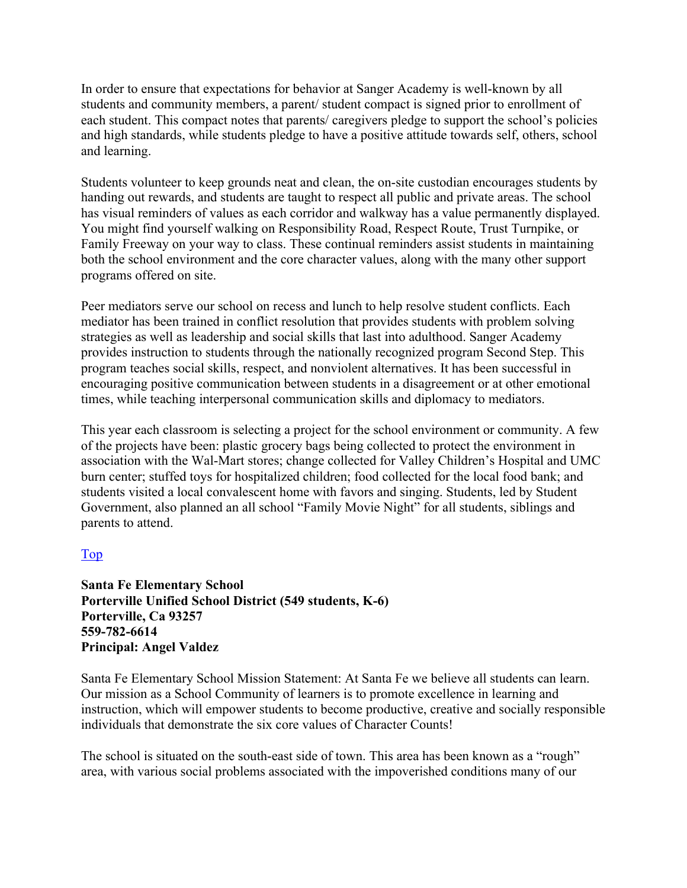In order to ensure that expectations for behavior at Sanger Academy is well-known by all students and community members, a parent/ student compact is signed prior to enrollment of each student. This compact notes that parents/ caregivers pledge to support the school's policies and high standards, while students pledge to have a positive attitude towards self, others, school and learning.

Students volunteer to keep grounds neat and clean, the on-site custodian encourages students by handing out rewards, and students are taught to respect all public and private areas. The school has visual reminders of values as each corridor and walkway has a value permanently displayed. You might find yourself walking on Responsibility Road, Respect Route, Trust Turnpike, or Family Freeway on your way to class. These continual reminders assist students in maintaining both the school environment and the core character values, along with the many other support programs offered on site.

Peer mediators serve our school on recess and lunch to help resolve student conflicts. Each mediator has been trained in conflict resolution that provides students with problem solving strategies as well as leadership and social skills that last into adulthood. Sanger Academy provides instruction to students through the nationally recognized program Second Step. This program teaches social skills, respect, and nonviolent alternatives. It has been successful in encouraging positive communication between students in a disagreement or at other emotional times, while teaching interpersonal communication skills and diplomacy to mediators.

This year each classroom is selecting a project for the school environment or community. A few of the projects have been: plastic grocery bags being collected to protect the environment in association with the Wal-Mart stores; change collected for Valley Children's Hospital and UMC burn center; stuffed toys for hospitalized children; food collected for the local food bank; and students visited a local convalescent home with favors and singing. Students, led by Student Government, also planned an all school "Family Movie Night" for all students, siblings and parents to attend.

#### Top

**Santa Fe Elementary School Porterville Unified School District (549 students, K-6) Porterville, Ca 93257 559-782-6614 Principal: Angel Valdez** 

Santa Fe Elementary School Mission Statement: At Santa Fe we believe all students can learn. Our mission as a School Community of learners is to promote excellence in learning and instruction, which will empower students to become productive, creative and socially responsible individuals that demonstrate the six core values of Character Counts!

The school is situated on the south-east side of town. This area has been known as a "rough" area, with various social problems associated with the impoverished conditions many of our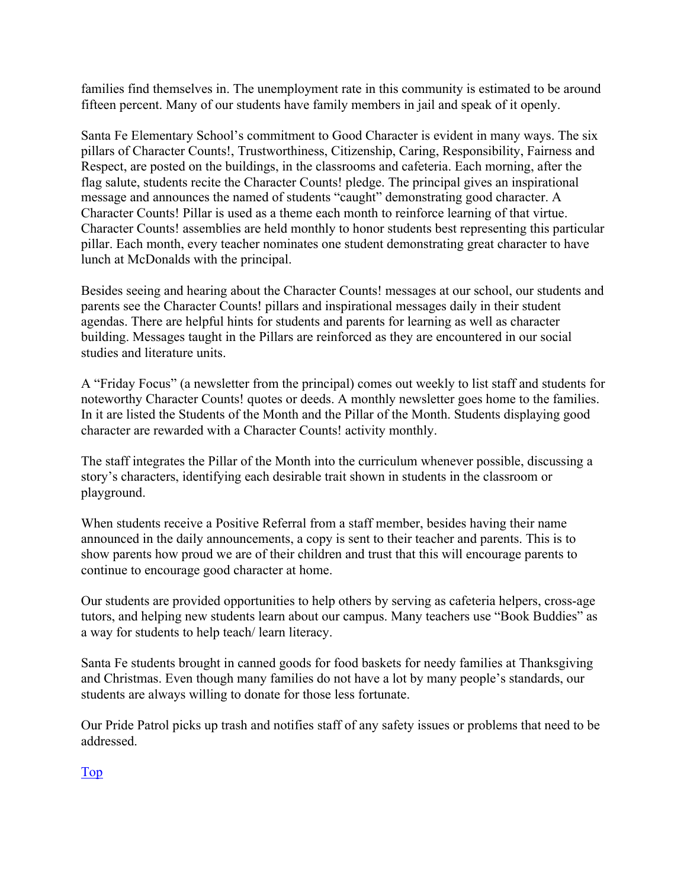families find themselves in. The unemployment rate in this community is estimated to be around fifteen percent. Many of our students have family members in jail and speak of it openly.

Santa Fe Elementary School's commitment to Good Character is evident in many ways. The six pillars of Character Counts!, Trustworthiness, Citizenship, Caring, Responsibility, Fairness and Respect, are posted on the buildings, in the classrooms and cafeteria. Each morning, after the flag salute, students recite the Character Counts! pledge. The principal gives an inspirational message and announces the named of students "caught" demonstrating good character. A Character Counts! Pillar is used as a theme each month to reinforce learning of that virtue. Character Counts! assemblies are held monthly to honor students best representing this particular pillar. Each month, every teacher nominates one student demonstrating great character to have lunch at McDonalds with the principal.

Besides seeing and hearing about the Character Counts! messages at our school, our students and parents see the Character Counts! pillars and inspirational messages daily in their student agendas. There are helpful hints for students and parents for learning as well as character building. Messages taught in the Pillars are reinforced as they are encountered in our social studies and literature units.

A "Friday Focus" (a newsletter from the principal) comes out weekly to list staff and students for noteworthy Character Counts! quotes or deeds. A monthly newsletter goes home to the families. In it are listed the Students of the Month and the Pillar of the Month. Students displaying good character are rewarded with a Character Counts! activity monthly.

The staff integrates the Pillar of the Month into the curriculum whenever possible, discussing a story's characters, identifying each desirable trait shown in students in the classroom or playground.

When students receive a Positive Referral from a staff member, besides having their name announced in the daily announcements, a copy is sent to their teacher and parents. This is to show parents how proud we are of their children and trust that this will encourage parents to continue to encourage good character at home.

Our students are provided opportunities to help others by serving as cafeteria helpers, cross-age tutors, and helping new students learn about our campus. Many teachers use "Book Buddies" as a way for students to help teach/ learn literacy.

Santa Fe students brought in canned goods for food baskets for needy families at Thanksgiving and Christmas. Even though many families do not have a lot by many people's standards, our students are always willing to donate for those less fortunate.

Our Pride Patrol picks up trash and notifies staff of any safety issues or problems that need to be addressed.

Top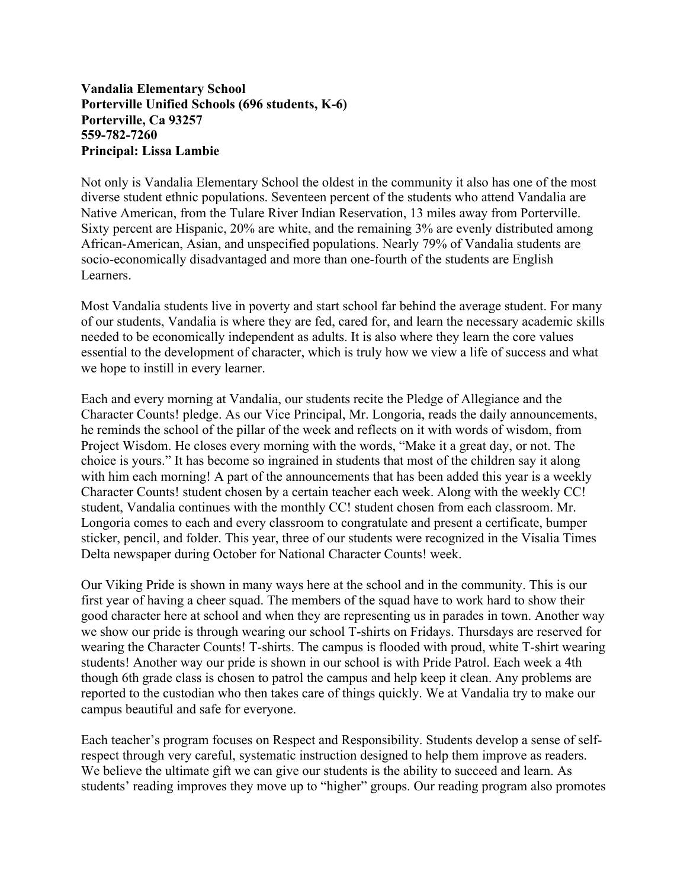#### **Vandalia Elementary School Porterville Unified Schools (696 students, K-6) Porterville, Ca 93257 559-782-7260 Principal: Lissa Lambie**

Not only is Vandalia Elementary School the oldest in the community it also has one of the most diverse student ethnic populations. Seventeen percent of the students who attend Vandalia are Native American, from the Tulare River Indian Reservation, 13 miles away from Porterville. Sixty percent are Hispanic, 20% are white, and the remaining 3% are evenly distributed among African-American, Asian, and unspecified populations. Nearly 79% of Vandalia students are socio-economically disadvantaged and more than one-fourth of the students are English Learners.

Most Vandalia students live in poverty and start school far behind the average student. For many of our students, Vandalia is where they are fed, cared for, and learn the necessary academic skills needed to be economically independent as adults. It is also where they learn the core values essential to the development of character, which is truly how we view a life of success and what we hope to instill in every learner.

Each and every morning at Vandalia, our students recite the Pledge of Allegiance and the Character Counts! pledge. As our Vice Principal, Mr. Longoria, reads the daily announcements, he reminds the school of the pillar of the week and reflects on it with words of wisdom, from Project Wisdom. He closes every morning with the words, "Make it a great day, or not. The choice is yours." It has become so ingrained in students that most of the children say it along with him each morning! A part of the announcements that has been added this year is a weekly Character Counts! student chosen by a certain teacher each week. Along with the weekly CC! student, Vandalia continues with the monthly CC! student chosen from each classroom. Mr. Longoria comes to each and every classroom to congratulate and present a certificate, bumper sticker, pencil, and folder. This year, three of our students were recognized in the Visalia Times Delta newspaper during October for National Character Counts! week.

Our Viking Pride is shown in many ways here at the school and in the community. This is our first year of having a cheer squad. The members of the squad have to work hard to show their good character here at school and when they are representing us in parades in town. Another way we show our pride is through wearing our school T-shirts on Fridays. Thursdays are reserved for wearing the Character Counts! T-shirts. The campus is flooded with proud, white T-shirt wearing students! Another way our pride is shown in our school is with Pride Patrol. Each week a 4th though 6th grade class is chosen to patrol the campus and help keep it clean. Any problems are reported to the custodian who then takes care of things quickly. We at Vandalia try to make our campus beautiful and safe for everyone.

Each teacher's program focuses on Respect and Responsibility. Students develop a sense of selfrespect through very careful, systematic instruction designed to help them improve as readers. We believe the ultimate gift we can give our students is the ability to succeed and learn. As students' reading improves they move up to "higher" groups. Our reading program also promotes